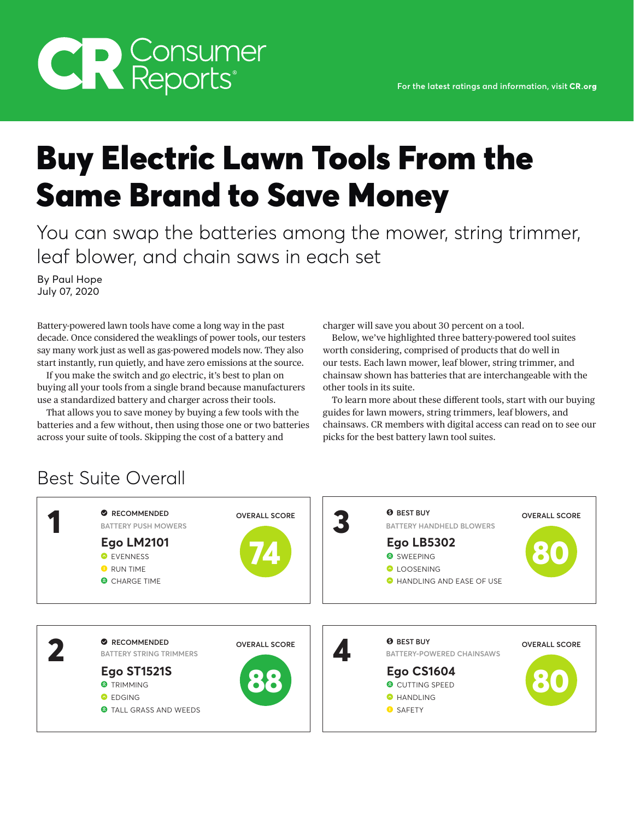# **CR** Consumer

# Buy Electric Lawn Tools From the Same Brand to Save Money

You can swap the batteries among the mower, string trimmer, leaf blower, and chain saws in each set

By Paul Hope July 07, 2020

Battery-powered lawn tools have come a long way in the past decade. Once considered the weaklings of power tools, our testers say many work just as well as gas-powered models now. They also start instantly, run quietly, and have zero emissions at the source.

If you make the switch and go electric, it's best to plan on buying all your tools from a single brand because manufacturers use a standardized battery and charger across their tools.

That allows you to save money by buying a few tools with the batteries and a few without, then using those one or two batteries across your suite of tools. Skipping the cost of a battery and

charger will save you about 30 percent on a tool.

Below, we've highlighted three battery-powered tool suites worth considering, comprised of products that do well in our tests. Each lawn mower, leaf blower, string trimmer, and chainsaw shown has batteries that are interchangeable with the other tools in its suite.

To learn more about these different tools, start with our buying guides for lawn mowers, string trimmers, leaf blowers, and chainsaws. CR members with digital access can read on to see our picks for the best battery lawn tool suites.

## Best Suite Overall